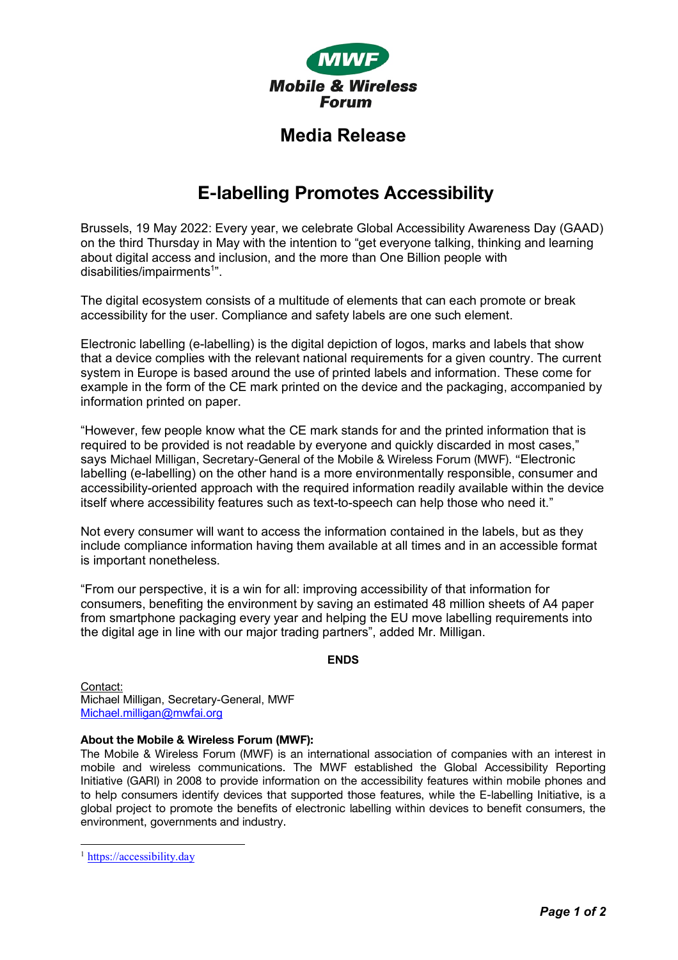

## **Media Release**

# **E-labelling Promotes Accessibility**

Brussels, 19 May 2022: Every year, we celebrate Global Accessibility Awareness Day (GAAD) on the third Thursday in May with the intention to "get everyone talking, thinking and learning about digital access and inclusion, and the more than One Billion people with disabilities/impairments<sup>1</sup>".

The digital ecosystem consists of a multitude of elements that can each promote or break accessibility for the user. Compliance and safety labels are one such element.

Electronic labelling (e-labelling) is the digital depiction of logos, marks and labels that show that a device complies with the relevant national requirements for a given country. The current system in Europe is based around the use of printed labels and information. These come for example in the form of the CE mark printed on the device and the packaging, accompanied by information printed on paper.

"However, few people know what the CE mark stands for and the printed information that is required to be provided is not readable by everyone and quickly discarded in most cases," says Michael Milligan, Secretary-General of the Mobile & Wireless Forum (MWF). "Electronic labelling (e-labelling) on the other hand is a more environmentally responsible, consumer and accessibility-oriented approach with the required information readily available within the device itself where accessibility features such as text-to-speech can help those who need it."

Not every consumer will want to access the information contained in the labels, but as they include compliance information having them available at all times and in an accessible format is important nonetheless.

"From our perspective, it is a win for all: improving accessibility of that information for consumers, benefiting the environment by saving an estimated 48 million sheets of A4 paper from smartphone packaging every year and helping the EU move labelling requirements into the digital age in line with our major trading partners", added Mr. Milligan.

#### **ENDS**

Contact: Michael Milligan, Secretary-General, MWF Michael.milligan@mwfai.org

## **About the Mobile & Wireless Forum (MWF):**

The Mobile & Wireless Forum (MWF) is an international association of companies with an interest in mobile and wireless communications. The MWF established the Global Accessibility Reporting Initiative (GARI) in 2008 to provide information on the accessibility features within mobile phones and to help consumers identify devices that supported those features, while the E-labelling Initiative, is a global project to promote the benefits of electronic labelling within devices to benefit consumers, the environment, governments and industry.

<sup>&</sup>lt;sup>1</sup> https://accessibility.day